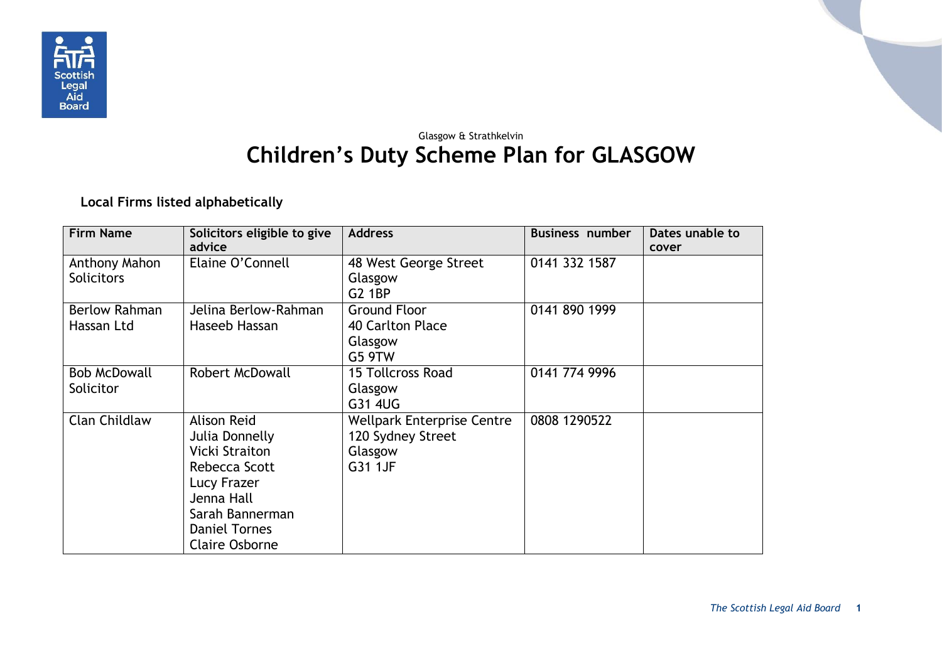

## Glasgow & Strathkelvin **Children's Duty Scheme Plan for GLASGOW**

**Local Firms listed alphabetically**

| <b>Firm Name</b>                   | Solicitors eligible to give<br>advice                                                                                                                                    | <b>Address</b>                                                               | <b>Business number</b> | Dates unable to<br>cover |
|------------------------------------|--------------------------------------------------------------------------------------------------------------------------------------------------------------------------|------------------------------------------------------------------------------|------------------------|--------------------------|
| Anthony Mahon<br><b>Solicitors</b> | Elaine O'Connell                                                                                                                                                         | 48 West George Street<br>Glasgow<br><b>G2 1BP</b>                            | 0141 332 1587          |                          |
| <b>Berlow Rahman</b><br>Hassan Ltd | Jelina Berlow-Rahman<br>Haseeb Hassan                                                                                                                                    | <b>Ground Floor</b><br>40 Carlton Place<br>Glasgow<br>G5 9TW                 | 0141 890 1999          |                          |
| <b>Bob McDowall</b><br>Solicitor   | <b>Robert McDowall</b>                                                                                                                                                   | <b>15 Tollcross Road</b><br>Glasgow<br>G31 4UG                               | 0141 774 9996          |                          |
| <b>Clan Childlaw</b>               | <b>Alison Reid</b><br>Julia Donnelly<br>Vicki Straiton<br>Rebecca Scott<br>Lucy Frazer<br>Jenna Hall<br>Sarah Bannerman<br><b>Daniel Tornes</b><br><b>Claire Osborne</b> | <b>Wellpark Enterprise Centre</b><br>120 Sydney Street<br>Glasgow<br>G31 1JF | 0808 1290522           |                          |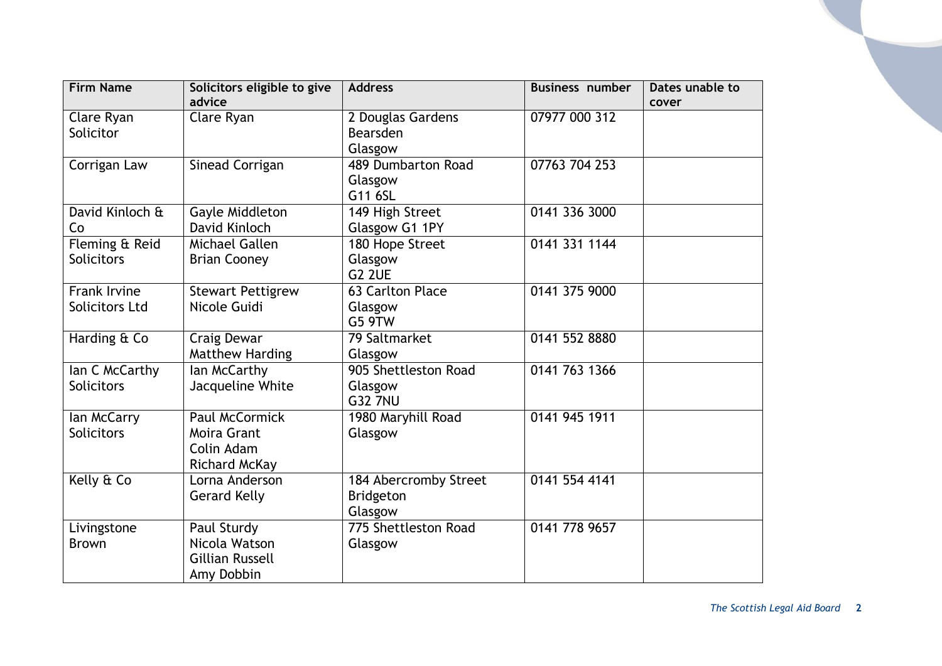| <b>Firm Name</b>  | Solicitors eligible to give | <b>Address</b>        | <b>Business number</b> | Dates unable to |
|-------------------|-----------------------------|-----------------------|------------------------|-----------------|
|                   | advice                      |                       |                        | cover           |
| Clare Ryan        | Clare Ryan                  | 2 Douglas Gardens     | 07977 000 312          |                 |
| Solicitor         |                             | Bearsden              |                        |                 |
|                   |                             | Glasgow               |                        |                 |
| Corrigan Law      | Sinead Corrigan             | 489 Dumbarton Road    | 07763 704 253          |                 |
|                   |                             | Glasgow               |                        |                 |
|                   |                             | G11 6SL               |                        |                 |
| David Kinloch &   | Gayle Middleton             | 149 High Street       | 0141 336 3000          |                 |
| Co                | David Kinloch               | Glasgow G1 1PY        |                        |                 |
| Fleming & Reid    | Michael Gallen              | 180 Hope Street       | 0141 331 1144          |                 |
| <b>Solicitors</b> | <b>Brian Cooney</b>         | Glasgow               |                        |                 |
|                   |                             | <b>G2 2UE</b>         |                        |                 |
| Frank Irvine      | <b>Stewart Pettigrew</b>    | 63 Carlton Place      | 0141 375 9000          |                 |
| Solicitors Ltd    | Nicole Guidi                | Glasgow               |                        |                 |
|                   |                             | <b>G5 9TW</b>         |                        |                 |
| Harding & Co      | Craig Dewar                 | 79 Saltmarket         | 0141 552 8880          |                 |
|                   | Matthew Harding             | Glasgow               |                        |                 |
| Ian C McCarthy    | lan McCarthy                | 905 Shettleston Road  | 0141 763 1366          |                 |
| <b>Solicitors</b> | Jacqueline White            | Glasgow               |                        |                 |
|                   |                             | <b>G32 7NU</b>        |                        |                 |
| lan McCarry       | <b>Paul McCormick</b>       | 1980 Maryhill Road    | 0141 945 1911          |                 |
| <b>Solicitors</b> | Moira Grant                 | Glasgow               |                        |                 |
|                   | Colin Adam                  |                       |                        |                 |
|                   | Richard McKay               |                       |                        |                 |
| Kelly & Co        | Lorna Anderson              | 184 Abercromby Street | 0141 554 4141          |                 |
|                   | <b>Gerard Kelly</b>         | Bridgeton             |                        |                 |
|                   |                             | Glasgow               |                        |                 |
| Livingstone       | Paul Sturdy                 | 775 Shettleston Road  | 0141 778 9657          |                 |
| <b>Brown</b>      | Nicola Watson               | Glasgow               |                        |                 |
|                   | <b>Gillian Russell</b>      |                       |                        |                 |
|                   | Amy Dobbin                  |                       |                        |                 |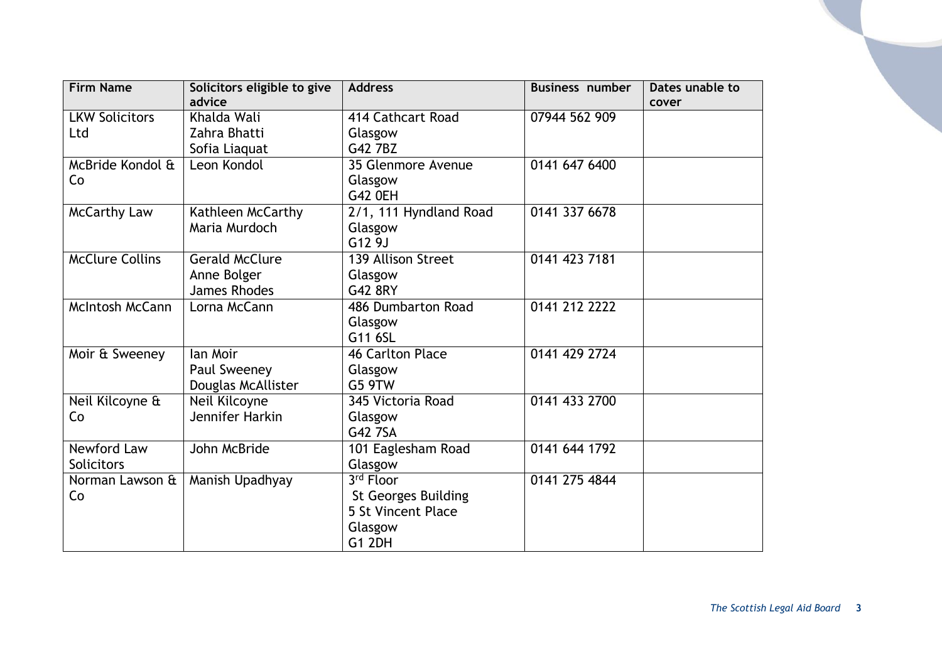| <b>Firm Name</b>       | Solicitors eligible to give | <b>Address</b>             | <b>Business number</b> | Dates unable to |
|------------------------|-----------------------------|----------------------------|------------------------|-----------------|
|                        | advice                      |                            |                        | cover           |
| <b>LKW Solicitors</b>  | Khalda Wali                 | 414 Cathcart Road          | 07944 562 909          |                 |
| Ltd                    | Zahra Bhatti                | Glasgow                    |                        |                 |
|                        | Sofia Liaquat               | G42 7BZ                    |                        |                 |
| McBride Kondol &       | Leon Kondol                 | 35 Glenmore Avenue         | 0141 647 6400          |                 |
| Co                     |                             | Glasgow                    |                        |                 |
|                        |                             | G42 0EH                    |                        |                 |
| <b>McCarthy Law</b>    | Kathleen McCarthy           | 2/1, 111 Hyndland Road     | 0141 337 6678          |                 |
|                        | Maria Murdoch               | Glasgow                    |                        |                 |
|                        |                             | G12 9J                     |                        |                 |
| <b>McClure Collins</b> | <b>Gerald McClure</b>       | 139 Allison Street         | 0141 423 7181          |                 |
|                        | Anne Bolger                 | Glasgow                    |                        |                 |
|                        | <b>James Rhodes</b>         | G42 8RY                    |                        |                 |
| <b>McIntosh McCann</b> | Lorna McCann                | 486 Dumbarton Road         | 0141 212 2222          |                 |
|                        |                             | Glasgow                    |                        |                 |
|                        |                             | G11 6SL                    |                        |                 |
| Moir & Sweeney         | lan Moir                    | 46 Carlton Place           | 0141 429 2724          |                 |
|                        | Paul Sweeney                | Glasgow                    |                        |                 |
|                        | Douglas McAllister          | G5 9TW                     |                        |                 |
| Neil Kilcoyne &        | Neil Kilcoyne               | 345 Victoria Road          | 0141 433 2700          |                 |
| Co                     | Jennifer Harkin             | Glasgow                    |                        |                 |
|                        |                             | G42 7SA                    |                        |                 |
| <b>Newford Law</b>     | John McBride                | 101 Eaglesham Road         | 0141 644 1792          |                 |
| Solicitors             |                             | Glasgow                    |                        |                 |
| Norman Lawson &        | Manish Upadhyay             | 3rd Floor                  | 0141 275 4844          |                 |
| Co                     |                             | <b>St Georges Building</b> |                        |                 |
|                        |                             | 5 St Vincent Place         |                        |                 |
|                        |                             | Glasgow                    |                        |                 |
|                        |                             | <b>G1 2DH</b>              |                        |                 |